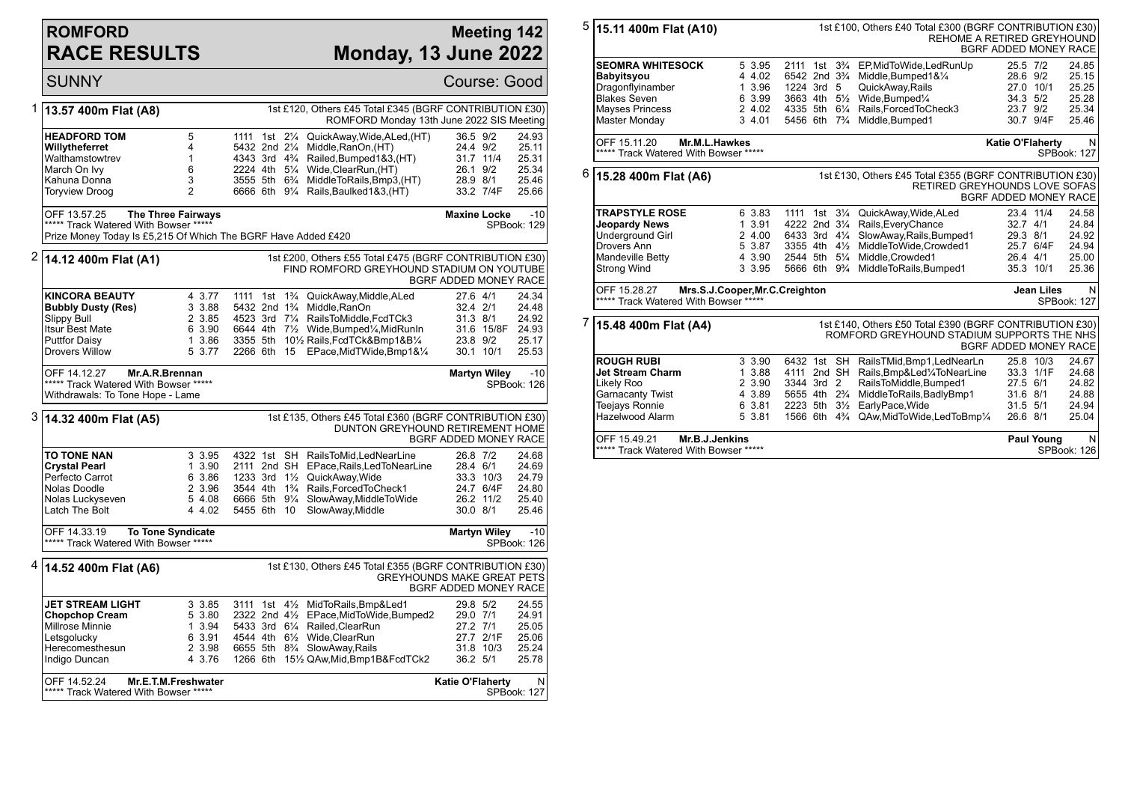## **ROMFORD RACE RESULTS**

## **Meeting 142 Monday, 13 June 2022**

|   | <b>SUNNY</b>                                                                                                                          |                                                                                            |                                                                               |                      |                                                                                                                                                                                                                                                                                   |                                              |                                     | Course: Good                                                  |
|---|---------------------------------------------------------------------------------------------------------------------------------------|--------------------------------------------------------------------------------------------|-------------------------------------------------------------------------------|----------------------|-----------------------------------------------------------------------------------------------------------------------------------------------------------------------------------------------------------------------------------------------------------------------------------|----------------------------------------------|-------------------------------------|---------------------------------------------------------------|
| 1 | 13.57 400m Flat (A8)                                                                                                                  |                                                                                            |                                                                               |                      | 1st £120, Others £45 Total £345 (BGRF CONTRIBUTION £30)<br>ROMFORD Monday 13th June 2022 SIS Meeting                                                                                                                                                                              |                                              |                                     |                                                               |
|   | <b>HEADFORD TOM</b><br>Willytheferret<br>Walthamstowtrev<br>March On Ivy<br>Kahuna Donna<br><b>Toryview Droog</b>                     | 5<br>4<br>$\mathbf{1}$<br>6<br>3<br>$\overline{2}$                                         | 1111 1st 21/4<br>5432 2nd 21/4                                                |                      | QuickAway, Wide, ALed, (HT)<br>Middle, RanOn, (HT)<br>4343 3rd 4 <sup>3</sup> / <sub>4</sub> Railed, Bumped 1 & 3, (HT)<br>2224 4th 51/4 Wide, ClearRun, (HT)<br>3555 5th 6 <sup>3</sup> / <sub>4</sub> MiddleToRails, Bmp3, (HT)<br>6666 6th 91/4 Rails, Baulked 1&3, (HT)       | 36.5 9/2<br>24.4 9/2<br>26.1 9/2<br>28.9 8/1 | 31.7 11/4<br>33.2 7/4F              | 24.93<br>25.11<br>25.31<br>25.34<br>25.46<br>25.66            |
|   | OFF 13.57.25<br>***** Track Watered With Bowser *****                                                                                 | <b>The Three Fairways</b><br>Prize Money Today Is £5,215 Of Which The BGRF Have Added £420 |                                                                               |                      |                                                                                                                                                                                                                                                                                   | <b>Maxine Locke</b>                          |                                     | $-10$<br>SPBook: 129                                          |
| 2 | 14.12 400m Flat (A1)                                                                                                                  |                                                                                            |                                                                               |                      | 1st £200, Others £55 Total £475 (BGRF CONTRIBUTION £30)<br>FIND ROMFORD GREYHOUND STADIUM ON YOUTUBE                                                                                                                                                                              | BGRF ADDED MONEY RACE                        |                                     |                                                               |
|   | <b>KINCORA BEAUTY</b><br><b>Bubbly Dusty (Res)</b><br>Slippy Bull<br>Itsur Best Mate<br><b>Puttfor Daisy</b><br><b>Drovers Willow</b> | 4 3.77<br>3 3.88<br>2 3.85<br>6 3.90<br>1 3.86<br>5 3.77                                   | 1111 1st<br>5432 2nd 1 <sup>3</sup> / <sub>4</sub><br>2266 6th 15             |                      | 1 <sup>3</sup> / <sub>4</sub> QuickAway, Middle, ALed<br>Middle, RanOn<br>4523 3rd 71/4 RailsToMiddle, FcdTCk3<br>6644 4th 7 <sup>1</sup> / <sub>2</sub> Wide, Bumped <sup>1</sup> / <sub>4</sub> , MidRunIn<br>3355 5th 101/2 Rails, FcdTCk&Bmp1&B1/4<br>EPace,MidTWide,Bmp1&1⁄4 | 27.6 4/1<br>32.4 2/1<br>31.3 8/1<br>23.8 9/2 | 30.1 10/1                           | 24.34<br>24.48<br>24.92<br>31.6 15/8F 24.93<br>25.17<br>25.53 |
|   | OFF 14.12.27<br>***** Track Watered With Bowser *****<br>Withdrawals: To Tone Hope - Lame                                             | Mr.A.R.Brennan                                                                             |                                                                               |                      |                                                                                                                                                                                                                                                                                   | Martyn Wiley                                 |                                     | $-10$<br>SPBook: 126                                          |
|   | 3 14.32 400m Flat (A5)                                                                                                                |                                                                                            |                                                                               |                      | 1st £135, Others £45 Total £360 (BGRF CONTRIBUTION £30)<br>DUNTON GREYHOUND RETIREMENT HOME                                                                                                                                                                                       | BGRF ADDED MONEY RACE                        |                                     |                                                               |
|   | TO TONE NAN<br><b>Crystal Pearl</b><br>Perfecto Carrot<br>Nolas Doodle<br>Nolas Luckyseven<br>Latch The Bolt                          | 3 3.95<br>1 3.90<br>6 3.86<br>2 3.96<br>5 4.08<br>4 4.02                                   | 4322 1st SH<br>2111 2nd SH<br>1233 3rd $1\frac{1}{2}$<br>6666 5th<br>5455 6th | $9\frac{1}{4}$<br>10 | RailsToMid.LedNearLine<br>EPace, Rails, Led ToNearLine<br>QuickAway, Wide<br>3544 4th 1 <sup>3</sup> / <sub>4</sub> Rails, Forced To Check1<br>SlowAway, MiddleToWide<br>SlowAway, Middle                                                                                         | 26.8 7/2<br>28.4 6/1<br>30.0 8/1             | 33.3 10/3<br>24.7 6/4F<br>26.2 11/2 | 24.68<br>24.69<br>24.79<br>24.80<br>25.40<br>25.46            |
|   | OFF 14.33.19<br>***** Track Watered With Bowser *****                                                                                 | <b>To Tone Syndicate</b>                                                                   |                                                                               |                      |                                                                                                                                                                                                                                                                                   | <b>Martyn Wiley</b>                          |                                     | $-10$<br>SPBook: 126                                          |
|   | <sup>4</sup>  14.52 400m Flat (A6)                                                                                                    |                                                                                            |                                                                               |                      | 1st £130, Others £45 Total £355 (BGRF CONTRIBUTION £30)<br><b>GREYHOUNDS MAKE GREAT PETS</b>                                                                                                                                                                                      | BGRF ADDED MONEY RACE                        |                                     |                                                               |
|   | JET STREAM LIGHT<br><b>Chopchop Cream</b><br>Millrose Minnie<br>Letsgolucky<br>Herecomesthesun<br>Indigo Duncan                       | 3 3.85<br>5 3.80<br>1 3.94<br>6 3.91<br>2 3.98<br>4 3.76                                   | $3111$ 1st $4\frac{1}{2}$<br>2322 2nd 41/2                                    |                      | MidToRails, Bmp&Led1<br>EPace, MidToWide, Bumped2<br>5433 3rd 61/4 Railed, ClearRun<br>4544 4th 61/ <sub>2</sub> Wide.ClearRun<br>6655 5th 8 <sup>3</sup> / <sub>4</sub> SlowAway, Rails<br>1266 6th 151/2 QAw, Mid, Bmp1B&FcdTCk2                                                | 29.8 5/2<br>29.0 7/1<br>27.2 7/1<br>36.2 5/1 | 27.7 2/1F<br>31.8 10/3              | 24.55<br>24.91<br>25.05<br>25.06<br>25.24<br>25.78            |
|   | OFF 14.52.24<br>***** Track Watered With Bowser *****                                                                                 | Mr.E.T.M.Freshwater                                                                        |                                                                               |                      |                                                                                                                                                                                                                                                                                   | <b>Katie O'Flaherty</b>                      |                                     | $\mathsf{N}$<br><b>SPBook: 127</b>                            |

| 5                                                                       | 15.11 400m Flat (A10)                                                                                                                                   | 1st £100, Others £40 Total £300 (BGRF CONTRIBUTION £30)<br>REHOME A RETIRED GREYHOUND<br>BGRF ADDED MONEY RACE |                                                                              |                  |                                  |                                                                                                                                                                                                                                                               |                                              |                                     |                                                    |
|-------------------------------------------------------------------------|---------------------------------------------------------------------------------------------------------------------------------------------------------|----------------------------------------------------------------------------------------------------------------|------------------------------------------------------------------------------|------------------|----------------------------------|---------------------------------------------------------------------------------------------------------------------------------------------------------------------------------------------------------------------------------------------------------------|----------------------------------------------|-------------------------------------|----------------------------------------------------|
|                                                                         | <b>SEOMRA WHITESOCK</b><br><b>Babyitsyou</b><br>Dragonflyinamber<br><b>Blakes Seven</b><br><b>Mayses Princess</b><br>Master Monday                      | 5 3.95<br>4 4.02<br>1 3.96<br>6 3.99<br>2 4.02<br>3 4.01                                                       | 1224 3rd 5<br>3663 4th 51/2<br>5456 6th 7 <sup>3</sup> / <sub>4</sub>        |                  |                                  | 2111 1st 3 <sup>3</sup> / <sub>4</sub> EP, Mid To Wide, Led Run Up<br>6542 2nd 3 <sup>3</sup> / <sub>4</sub> Middle, Bumped 1& 1/ <sub>4</sub><br>QuickAway, Rails<br>Wide, Bumped <sup>1/4</sup><br>4335 5th 61/4 Rails, Forced To Check3<br>Middle, Bumped1 | 25.5 7/2<br>28.6 9/2<br>34.3 5/2<br>23.7 9/2 | 27.0 10/1<br>30.7 9/4F              | 24.85<br>25.15<br>25.25<br>25.28<br>25.34<br>25.46 |
|                                                                         | OFF 15.11.20<br>Mr.M.L.Hawkes<br>***** Track Watered With Bowser *****                                                                                  |                                                                                                                |                                                                              |                  |                                  |                                                                                                                                                                                                                                                               | <b>Katie O'Flaherty</b>                      |                                     | N<br>SPBook: 127                                   |
| 6                                                                       | 1st £130, Others £45 Total £355 (BGRF CONTRIBUTION £30)<br>15.28 400m Flat (A6)<br><b>RETIRED GREYHOUNDS LOVE SOFAS</b><br><b>BGRF ADDED MONEY RACE</b> |                                                                                                                |                                                                              |                  |                                  |                                                                                                                                                                                                                                                               |                                              |                                     |                                                    |
|                                                                         | <b>TRAPSTYLE ROSE</b><br><b>Jeopardy News</b><br><b>Underground Girl</b><br>Drovers Ann<br><b>Mandeville Betty</b><br><b>Strong Wind</b>                | 6 3.83<br>1 3.91<br>2 4.00<br>5 3.87<br>4 3.90<br>3 3.95                                                       |                                                                              |                  |                                  | 1111 1st 31/4 QuickAway, Wide, ALed<br>4222 2nd 31/4 Rails, Every Chance<br>6433 3rd 41/4 SlowAway, Rails, Bumped1<br>3355 4th 41/2 MiddleToWide, Crowded1<br>2544 5th 51/4 Middle.Crowded1<br>5666 6th 9 <sup>3</sup> / <sub>4</sub> MiddleToRails, Bumped 1 | $32.7$ 4/1<br>29.3 8/1<br>26.4 4/1           | 23.4 11/4<br>25.7 6/4F<br>35.3 10/1 | 24.58<br>24.84<br>24.92<br>24.94<br>25.00<br>25.36 |
|                                                                         | OFF 15.28.27<br>Mrs.S.J.Cooper, Mr.C.Creighton<br>***** Track Watered With Bowser *****                                                                 |                                                                                                                | <b>Jean Liles</b>                                                            | N<br>SPBook: 127 |                                  |                                                                                                                                                                                                                                                               |                                              |                                     |                                                    |
| 7                                                                       | 1st £140, Others £50 Total £390 (BGRF CONTRIBUTION £30)<br>15.48 400m Flat (A4)<br>ROMFORD GREYHOUND STADIUM SUPPORTS THE NHS<br>BGRF ADDED MONEY RACE  |                                                                                                                |                                                                              |                  |                                  |                                                                                                                                                                                                                                                               |                                              |                                     |                                                    |
|                                                                         | <b>ROUGH RUBI</b><br><b>Jet Stream Charm</b><br>Likely Roo<br>Garnacanty Twist<br><b>Teejays Ronnie</b><br>Hazelwood Alarm                              | 3 3.90<br>1 3.88<br>2 3.90<br>4 3.89<br>6 3.81<br>5 3.81                                                       | 3344 3rd 2<br>5655 4th 2 <sup>3</sup> / <sub>4</sub><br>2223 5th<br>1566 6th |                  | $3\frac{1}{2}$<br>$4\frac{3}{4}$ | 6432 1st SH RailsTMid, Bmp1, LedNearLn<br>4111 2nd SH Rails, Bmp&Led1/4ToNearLine<br>RailsToMiddle,Bumped1<br>MiddleToRails, BadlyBmp1<br>EarlyPace, Wide<br>QAw, MidTo Wide, LedTo Bmp1/4                                                                    | 27.5 6/1<br>31.6 8/1<br>31.5 5/1<br>26.6 8/1 | 25.8 10/3<br>33.3 1/1F              | 24.67<br>24.68<br>24.82<br>24.88<br>24.94<br>25.04 |
| Mr.B.J.Jenkins<br>OFF 15.49.21<br>***** Track Watered With Bowser ***** |                                                                                                                                                         |                                                                                                                |                                                                              |                  |                                  |                                                                                                                                                                                                                                                               |                                              |                                     | <b>Paul Young</b><br>N<br>SPBook: 126              |